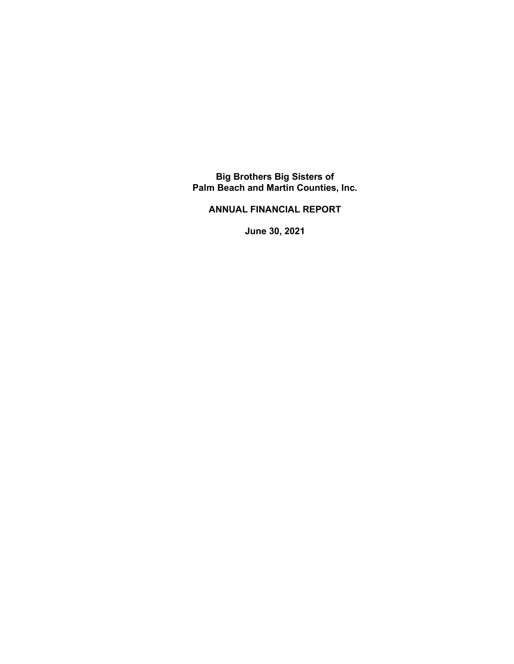**Big Brothers Big Sisters of Palm Beach and Martin Counties, Inc.**

**ANNUAL FINANCIAL REPORT**

**June 30, 2021**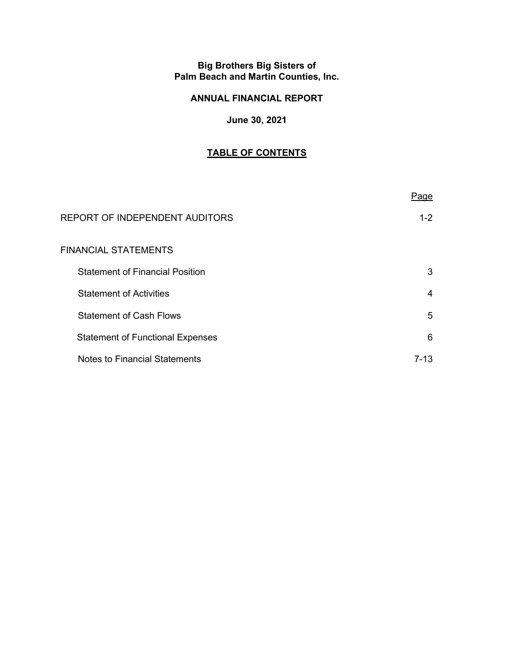## **Big Brothers Big Sisters of Palm Beach and Martin Counties, Inc.**

# **ANNUAL FINANCIAL REPORT**

# **June 30, 2021**

# **TABLE OF CONTENTS**

|                                         | Page     |
|-----------------------------------------|----------|
| REPORT OF INDEPENDENT AUDITORS          | $1 - 2$  |
| <b>FINANCIAL STATEMENTS</b>             |          |
| <b>Statement of Financial Position</b>  | 3        |
| <b>Statement of Activities</b>          | 4        |
| <b>Statement of Cash Flows</b>          | 5        |
| <b>Statement of Functional Expenses</b> | 6        |
| <b>Notes to Financial Statements</b>    | $7 - 13$ |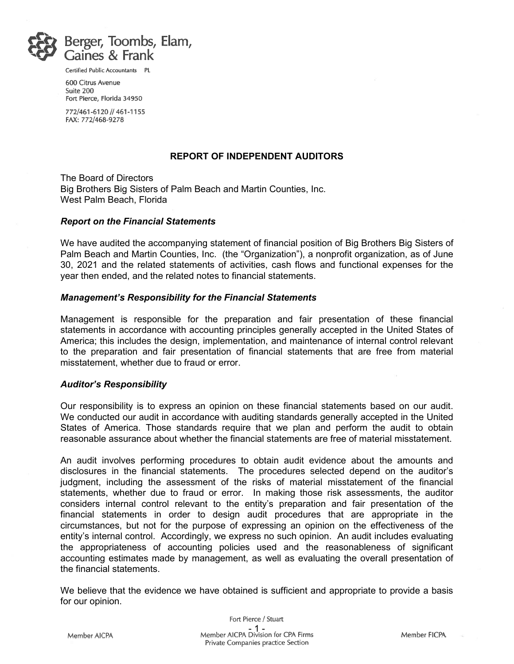

Certified Public Accountants PL

600 Citrus Avenue Suite 200 Fort Pierce, Florida 34950

772/461-6120 // 461-1155 FAX: 772/468-9278

#### **REPORT OF INDEPENDENT AUDITORS**

The Board of Directors Big Brothers Big Sisters of Palm Beach and Martin Counties, Inc. West Palm Beach, Florida

#### *Report on the Financial Statements*

We have audited the accompanying statement of financial position of Big Brothers Big Sisters of Palm Beach and Martin Counties, Inc. (the "Organization"), a nonprofit organization, as of June 30, 2021 and the related statements of activities, cash flows and functional expenses for the year then ended, and the related notes to financial statements.

#### *Management's Responsibility for the Financial Statements*

Management is responsible for the preparation and fair presentation of these financial statements in accordance with accounting principles generally accepted in the United States of America; this includes the design, implementation, and maintenance of internal control relevant to the preparation and fair presentation of financial statements that are free from material misstatement, whether due to fraud or error.

#### *Auditor's Responsibility*

Our responsibility is to express an opinion on these financial statements based on our audit. We conducted our audit in accordance with auditing standards generally accepted in the United States of America. Those standards require that we plan and perform the audit to obtain reasonable assurance about whether the financial statements are free of material misstatement.

An audit involves performing procedures to obtain audit evidence about the amounts and disclosures in the financial statements. The procedures selected depend on the auditor's judgment, including the assessment of the risks of material misstatement of the financial statements, whether due to fraud or error. In making those risk assessments, the auditor considers internal control relevant to the entity's preparation and fair presentation of the financial statements in order to design audit procedures that are appropriate in the circumstances, but not for the purpose of expressing an opinion on the effectiveness of the entity's internal control. Accordingly, we express no such opinion. An audit includes evaluating the appropriateness of accounting policies used and the reasonableness of significant accounting estimates made by management, as well as evaluating the overall presentation of the financial statements.

We believe that the evidence we have obtained is sufficient and appropriate to provide a basis for our opinion.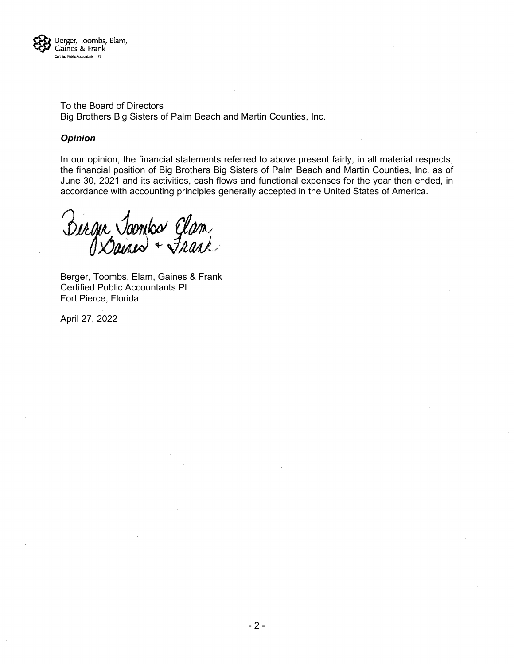

To the Board of Directors Big Brothers Big Sisters of Palm Beach and Martin Counties, Inc.

#### *Opinion*

In our opinion, the financial statements referred to above present fairly, in all material respects, the financial position of Big Brothers Big Sisters of Palm Beach and Martin Counties, Inc. as of June 30, 2021 and its activities, cash flows and functional expenses for the year then ended, in accordance with accounting principles generally accepted in the United States of America.

Birgir Jambo Glam

Berger, Toombs, Elam, Gaines & Frank Certified Public Accountants PL Fort Pierce, Florida

April 27, 2022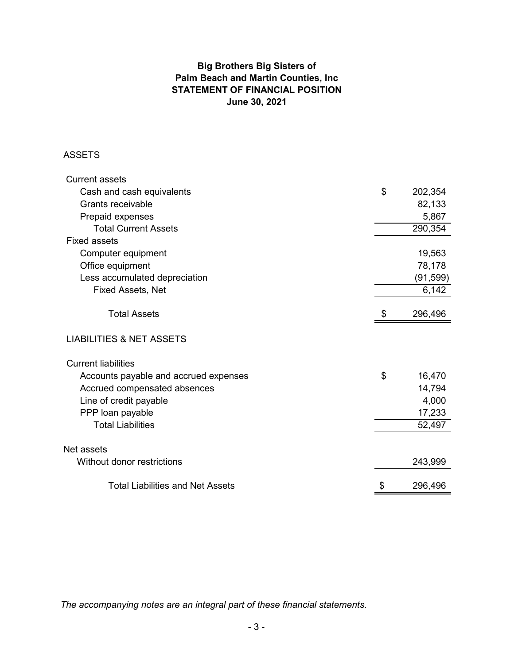# **Big Brothers Big Sisters of Palm Beach and Martin Counties, Inc STATEMENT OF FINANCIAL POSITION June 30, 2021**

# ASSETS

| <b>Current assets</b>                   |               |
|-----------------------------------------|---------------|
| Cash and cash equivalents               | \$<br>202,354 |
| <b>Grants receivable</b>                | 82,133        |
| Prepaid expenses                        | 5,867         |
| <b>Total Current Assets</b>             | 290,354       |
| <b>Fixed assets</b>                     |               |
| Computer equipment                      | 19,563        |
| Office equipment                        | 78,178        |
| Less accumulated depreciation           | (91, 599)     |
| Fixed Assets, Net                       | 6,142         |
| <b>Total Assets</b>                     | 296,496       |
| <b>LIABILITIES &amp; NET ASSETS</b>     |               |
| <b>Current liabilities</b>              |               |
| Accounts payable and accrued expenses   | \$<br>16,470  |
| Accrued compensated absences            | 14,794        |
| Line of credit payable                  | 4,000         |
| PPP loan payable                        | 17,233        |
| <b>Total Liabilities</b>                | 52,497        |
| Net assets                              |               |
| Without donor restrictions              | 243,999       |
| <b>Total Liabilities and Net Assets</b> | \$<br>296,496 |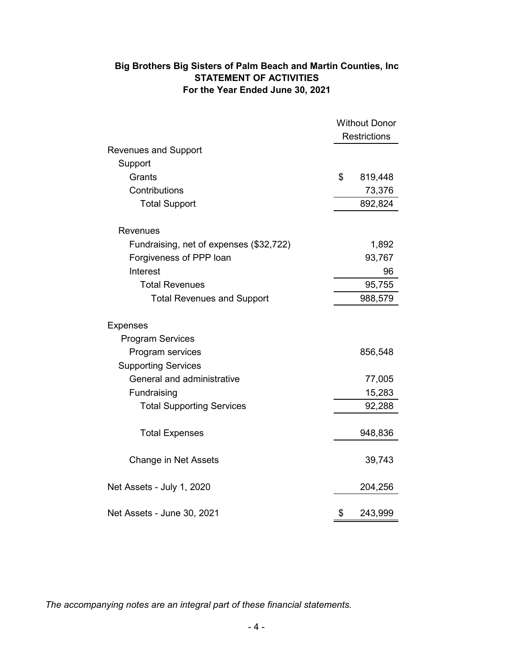# **Big Brothers Big Sisters of Palm Beach and Martin Counties, Inc STATEMENT OF ACTIVITIES For the Year Ended June 30, 2021**

|                                         | <b>Without Donor</b> |
|-----------------------------------------|----------------------|
|                                         | <b>Restrictions</b>  |
| <b>Revenues and Support</b>             |                      |
| Support                                 |                      |
| Grants                                  | \$<br>819,448        |
| Contributions                           | 73,376               |
| <b>Total Support</b>                    | 892,824              |
| <b>Revenues</b>                         |                      |
| Fundraising, net of expenses (\$32,722) | 1,892                |
| Forgiveness of PPP loan                 | 93,767               |
| Interest                                | 96                   |
| <b>Total Revenues</b>                   | 95,755               |
| <b>Total Revenues and Support</b>       | 988,579              |
| <b>Expenses</b>                         |                      |
| <b>Program Services</b>                 |                      |
| Program services                        | 856,548              |
| <b>Supporting Services</b>              |                      |
| General and administrative              | 77,005               |
| Fundraising                             | 15,283               |
| <b>Total Supporting Services</b>        | 92,288               |
| <b>Total Expenses</b>                   | 948,836              |
| Change in Net Assets                    | 39,743               |
| Net Assets - July 1, 2020               | 204,256              |
| Net Assets - June 30, 2021              | \$<br>243,999        |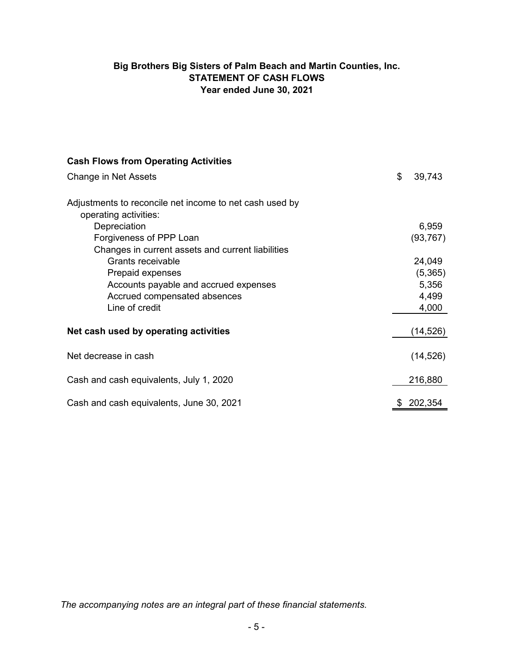# **Big Brothers Big Sisters of Palm Beach and Martin Counties, Inc. STATEMENT OF CASH FLOWS Year ended June 30, 2021**

| <b>Cash Flows from Operating Activities</b>                                      |              |
|----------------------------------------------------------------------------------|--------------|
| Change in Net Assets                                                             | \$<br>39,743 |
| Adjustments to reconcile net income to net cash used by<br>operating activities: |              |
| Depreciation                                                                     | 6,959        |
| Forgiveness of PPP Loan                                                          | (93, 767)    |
| Changes in current assets and current liabilities                                |              |
| Grants receivable                                                                | 24,049       |
| Prepaid expenses                                                                 | (5,365)      |
| Accounts payable and accrued expenses                                            | 5,356        |
| Accrued compensated absences                                                     | 4,499        |
| Line of credit                                                                   | 4,000        |
|                                                                                  |              |
| Net cash used by operating activities                                            | (14,526)     |
|                                                                                  |              |
| Net decrease in cash                                                             | (14, 526)    |
| Cash and cash equivalents, July 1, 2020                                          | 216,880      |
|                                                                                  |              |
| Cash and cash equivalents, June 30, 2021                                         | 202,354      |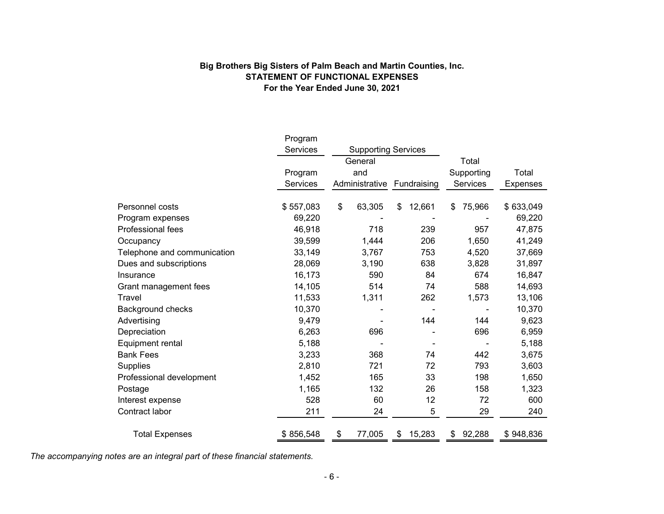## **Big Brothers Big Sisters of Palm Beach and Martin Counties, Inc. STATEMENT OF FUNCTIONAL EXPENSES For the Year Ended June 30, 2021**

|                             | Program         |                            |              |                 |           |
|-----------------------------|-----------------|----------------------------|--------------|-----------------|-----------|
|                             | Services        | <b>Supporting Services</b> |              |                 |           |
|                             |                 | General                    |              | Total           |           |
|                             | Program         | and                        |              | Supporting      | Total     |
|                             | <b>Services</b> | Administrative             | Fundraising  | <b>Services</b> | Expenses  |
|                             |                 |                            |              |                 |           |
| Personnel costs             | \$557,083       | 63,305<br>\$               | 12,661<br>\$ | 75,966<br>\$    | \$633,049 |
| Program expenses            | 69,220          |                            |              |                 | 69,220    |
| Professional fees           | 46,918          | 718                        | 239          | 957             | 47,875    |
| Occupancy                   | 39,599          | 1,444                      | 206          | 1,650           | 41,249    |
| Telephone and communication | 33,149          | 3,767                      | 753          | 4,520           | 37,669    |
| Dues and subscriptions      | 28,069          | 3,190                      | 638          | 3,828           | 31,897    |
| Insurance                   | 16,173          | 590                        | 84           | 674             | 16,847    |
| Grant management fees       | 14,105          | 514                        | 74           | 588             | 14,693    |
| Travel                      | 11,533          | 1,311                      | 262          | 1,573           | 13,106    |
| <b>Background checks</b>    | 10,370          |                            |              |                 | 10,370    |
| Advertising                 | 9,479           |                            | 144          | 144             | 9,623     |
| Depreciation                | 6,263           | 696                        |              | 696             | 6,959     |
| Equipment rental            | 5,188           |                            |              |                 | 5,188     |
| <b>Bank Fees</b>            | 3,233           | 368                        | 74           | 442             | 3,675     |
| Supplies                    | 2,810           | 721                        | 72           | 793             | 3,603     |
| Professional development    | 1,452           | 165                        | 33           | 198             | 1,650     |
| Postage                     | 1,165           | 132                        | 26           | 158             | 1,323     |
| Interest expense            | 528             | 60                         | 12           | 72              | 600       |
| Contract labor              | 211             | 24                         | 5            | 29              | 240       |
|                             |                 |                            |              |                 |           |
| <b>Total Expenses</b>       | \$856,548       | 77,005<br>\$               | 15,283<br>\$ | 92,288<br>\$    | \$948,836 |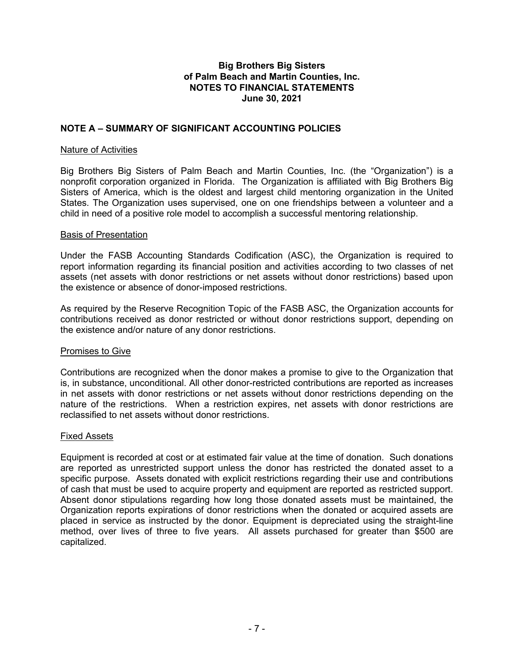## **NOTE A – SUMMARY OF SIGNIFICANT ACCOUNTING POLICIES**

#### Nature of Activities

Big Brothers Big Sisters of Palm Beach and Martin Counties, Inc. (the "Organization") is a nonprofit corporation organized in Florida. The Organization is affiliated with Big Brothers Big Sisters of America, which is the oldest and largest child mentoring organization in the United States. The Organization uses supervised, one on one friendships between a volunteer and a child in need of a positive role model to accomplish a successful mentoring relationship.

#### Basis of Presentation

Under the FASB Accounting Standards Codification (ASC), the Organization is required to report information regarding its financial position and activities according to two classes of net assets (net assets with donor restrictions or net assets without donor restrictions) based upon the existence or absence of donor-imposed restrictions.

As required by the Reserve Recognition Topic of the FASB ASC, the Organization accounts for contributions received as donor restricted or without donor restrictions support, depending on the existence and/or nature of any donor restrictions.

#### Promises to Give

Contributions are recognized when the donor makes a promise to give to the Organization that is, in substance, unconditional. All other donor-restricted contributions are reported as increases in net assets with donor restrictions or net assets without donor restrictions depending on the nature of the restrictions. When a restriction expires, net assets with donor restrictions are reclassified to net assets without donor restrictions.

#### Fixed Assets

Equipment is recorded at cost or at estimated fair value at the time of donation. Such donations are reported as unrestricted support unless the donor has restricted the donated asset to a specific purpose. Assets donated with explicit restrictions regarding their use and contributions of cash that must be used to acquire property and equipment are reported as restricted support. Absent donor stipulations regarding how long those donated assets must be maintained, the Organization reports expirations of donor restrictions when the donated or acquired assets are placed in service as instructed by the donor. Equipment is depreciated using the straight-line method, over lives of three to five years. All assets purchased for greater than \$500 are capitalized.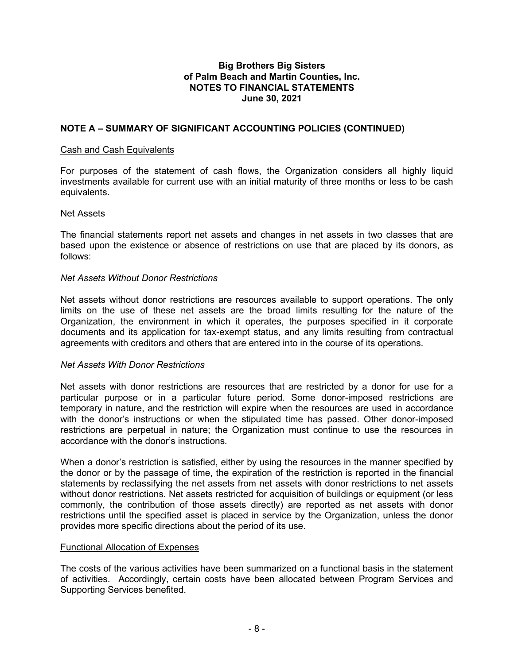## **NOTE A – SUMMARY OF SIGNIFICANT ACCOUNTING POLICIES (CONTINUED)**

### Cash and Cash Equivalents

For purposes of the statement of cash flows, the Organization considers all highly liquid investments available for current use with an initial maturity of three months or less to be cash equivalents.

#### Net Assets

The financial statements report net assets and changes in net assets in two classes that are based upon the existence or absence of restrictions on use that are placed by its donors, as follows:

## *Net Assets Without Donor Restrictions*

Net assets without donor restrictions are resources available to support operations. The only limits on the use of these net assets are the broad limits resulting for the nature of the Organization, the environment in which it operates, the purposes specified in it corporate documents and its application for tax-exempt status, and any limits resulting from contractual agreements with creditors and others that are entered into in the course of its operations.

#### *Net Assets With Donor Restrictions*

Net assets with donor restrictions are resources that are restricted by a donor for use for a particular purpose or in a particular future period. Some donor-imposed restrictions are temporary in nature, and the restriction will expire when the resources are used in accordance with the donor's instructions or when the stipulated time has passed. Other donor-imposed restrictions are perpetual in nature; the Organization must continue to use the resources in accordance with the donor's instructions.

When a donor's restriction is satisfied, either by using the resources in the manner specified by the donor or by the passage of time, the expiration of the restriction is reported in the financial statements by reclassifying the net assets from net assets with donor restrictions to net assets without donor restrictions. Net assets restricted for acquisition of buildings or equipment (or less commonly, the contribution of those assets directly) are reported as net assets with donor restrictions until the specified asset is placed in service by the Organization, unless the donor provides more specific directions about the period of its use.

#### Functional Allocation of Expenses

The costs of the various activities have been summarized on a functional basis in the statement of activities. Accordingly, certain costs have been allocated between Program Services and Supporting Services benefited.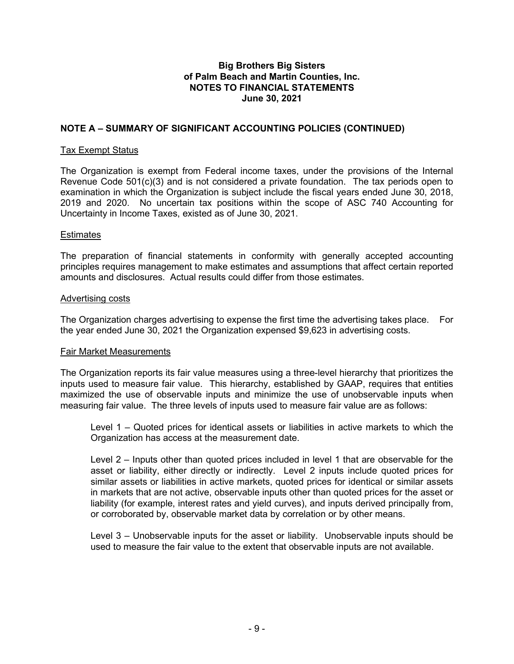## **NOTE A – SUMMARY OF SIGNIFICANT ACCOUNTING POLICIES (CONTINUED)**

### Tax Exempt Status

The Organization is exempt from Federal income taxes, under the provisions of the Internal Revenue Code 501(c)(3) and is not considered a private foundation. The tax periods open to examination in which the Organization is subject include the fiscal years ended June 30, 2018, 2019 and 2020. No uncertain tax positions within the scope of ASC 740 Accounting for Uncertainty in Income Taxes, existed as of June 30, 2021.

### **Estimates**

The preparation of financial statements in conformity with generally accepted accounting principles requires management to make estimates and assumptions that affect certain reported amounts and disclosures. Actual results could differ from those estimates.

#### Advertising costs

The Organization charges advertising to expense the first time the advertising takes place. For the year ended June 30, 2021 the Organization expensed \$9,623 in advertising costs.

#### Fair Market Measurements

The Organization reports its fair value measures using a three-level hierarchy that prioritizes the inputs used to measure fair value. This hierarchy, established by GAAP, requires that entities maximized the use of observable inputs and minimize the use of unobservable inputs when measuring fair value. The three levels of inputs used to measure fair value are as follows:

Level 1 – Quoted prices for identical assets or liabilities in active markets to which the Organization has access at the measurement date.

Level 2 – Inputs other than quoted prices included in level 1 that are observable for the asset or liability, either directly or indirectly. Level 2 inputs include quoted prices for similar assets or liabilities in active markets, quoted prices for identical or similar assets in markets that are not active, observable inputs other than quoted prices for the asset or liability (for example, interest rates and yield curves), and inputs derived principally from, or corroborated by, observable market data by correlation or by other means.

Level 3 – Unobservable inputs for the asset or liability. Unobservable inputs should be used to measure the fair value to the extent that observable inputs are not available.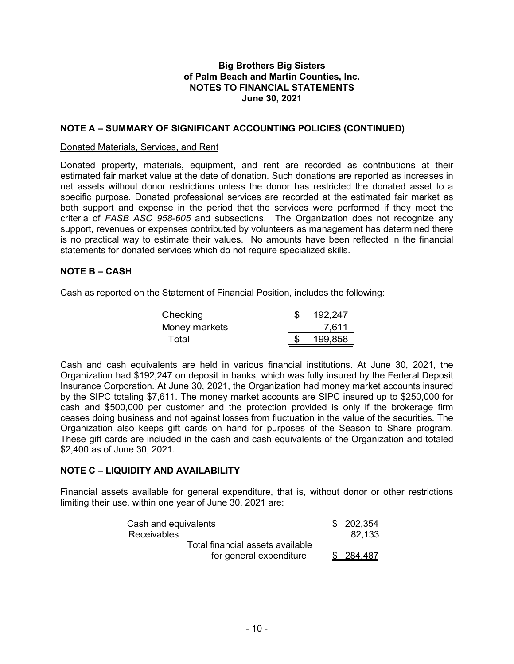## **NOTE A – SUMMARY OF SIGNIFICANT ACCOUNTING POLICIES (CONTINUED)**

#### Donated Materials, Services, and Rent

Donated property, materials, equipment, and rent are recorded as contributions at their estimated fair market value at the date of donation. Such donations are reported as increases in net assets without donor restrictions unless the donor has restricted the donated asset to a specific purpose. Donated professional services are recorded at the estimated fair market as both support and expense in the period that the services were performed if they meet the criteria of *FASB ASC 958-605* and subsections. The Organization does not recognize any support, revenues or expenses contributed by volunteers as management has determined there is no practical way to estimate their values. No amounts have been reflected in the financial statements for donated services which do not require specialized skills.

#### **NOTE B – CASH**

Cash as reported on the Statement of Financial Position, includes the following:

| Checking      | 192,247 |
|---------------|---------|
| Money markets | 7,611   |
| Total         | 199,858 |

Cash and cash equivalents are held in various financial institutions. At June 30, 2021, the Organization had \$192,247 on deposit in banks, which was fully insured by the Federal Deposit Insurance Corporation. At June 30, 2021, the Organization had money market accounts insured by the SIPC totaling \$7,611. The money market accounts are SIPC insured up to \$250,000 for cash and \$500,000 per customer and the protection provided is only if the brokerage firm ceases doing business and not against losses from fluctuation in the value of the securities. The Organization also keeps gift cards on hand for purposes of the Season to Share program. These gift cards are included in the cash and cash equivalents of the Organization and totaled \$2,400 as of June 30, 2021.

### **NOTE C – LIQUIDITY AND AVAILABILITY**

Financial assets available for general expenditure, that is, without donor or other restrictions limiting their use, within one year of June 30, 2021 are:

| Cash and equivalents             | \$202,354 |
|----------------------------------|-----------|
| <b>Receivables</b>               | 82,133    |
| Total financial assets available |           |
| for general expenditure          | \$284,487 |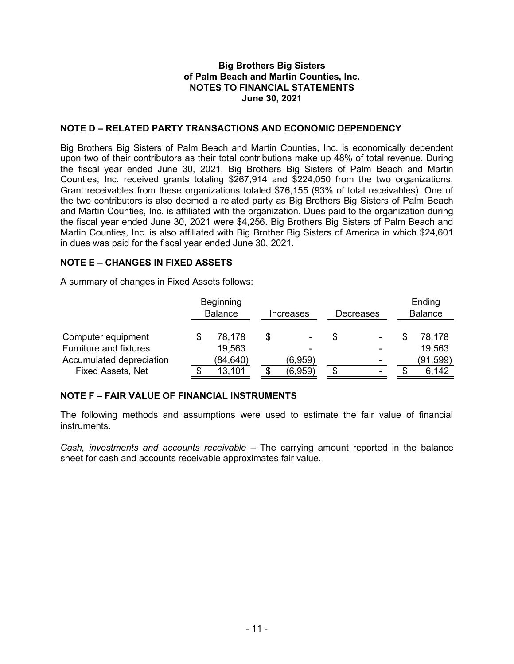## **NOTE D – RELATED PARTY TRANSACTIONS AND ECONOMIC DEPENDENCY**

Big Brothers Big Sisters of Palm Beach and Martin Counties, Inc. is economically dependent upon two of their contributors as their total contributions make up 48% of total revenue. During the fiscal year ended June 30, 2021, Big Brothers Big Sisters of Palm Beach and Martin Counties, Inc. received grants totaling \$267,914 and \$224,050 from the two organizations. Grant receivables from these organizations totaled \$76,155 (93% of total receivables). One of the two contributors is also deemed a related party as Big Brothers Big Sisters of Palm Beach and Martin Counties, Inc. is affiliated with the organization. Dues paid to the organization during the fiscal year ended June 30, 2021 were \$4,256. Big Brothers Big Sisters of Palm Beach and Martin Counties, Inc. is also affiliated with Big Brother Big Sisters of America in which \$24,601 in dues was paid for the fiscal year ended June 30, 2021.

## **NOTE E – CHANGES IN FIXED ASSETS**

A summary of changes in Fixed Assets follows:

|                          | <b>Beginning</b><br><b>Balance</b> |     | Increases      |    | Decreases      | Ending<br><b>Balance</b> |
|--------------------------|------------------------------------|-----|----------------|----|----------------|--------------------------|
| Computer equipment       | 78,178                             | \$. | $\blacksquare$ | \$ | $\blacksquare$ | 78,178                   |
| Furniture and fixtures   | 19,563                             |     | -              |    |                | 19,563                   |
| Accumulated depreciation | (84, 640)                          |     | (6,959)        |    |                | (91, 599)                |
| <b>Fixed Assets, Net</b> | 13,101                             |     | (6,959)        | S  | ۰              | 6,142                    |

#### **NOTE F – FAIR VALUE OF FINANCIAL INSTRUMENTS**

The following methods and assumptions were used to estimate the fair value of financial instruments.

*Cash, investments and accounts receivable –* The carrying amount reported in the balance sheet for cash and accounts receivable approximates fair value.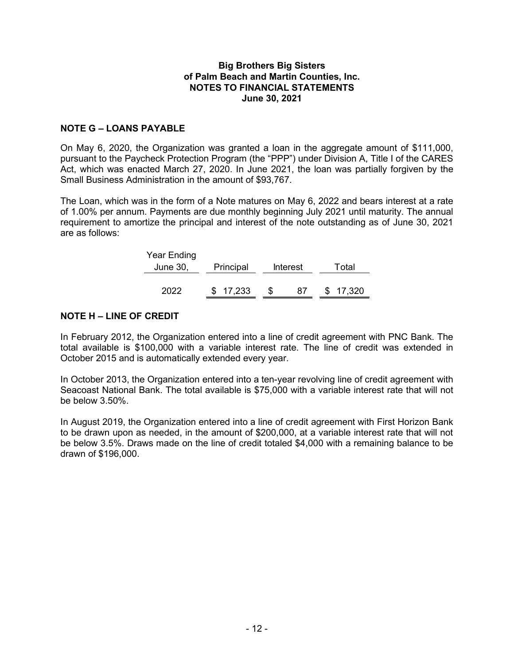## **NOTE G – LOANS PAYABLE**

On May 6, 2020, the Organization was granted a loan in the aggregate amount of \$111,000, pursuant to the Paycheck Protection Program (the "PPP") under Division A, Title I of the CARES Act, which was enacted March 27, 2020. In June 2021, the loan was partially forgiven by the Small Business Administration in the amount of \$93,767.

The Loan, which was in the form of a Note matures on May 6, 2022 and bears interest at a rate of 1.00% per annum. Payments are due monthly beginning July 2021 until maturity. The annual requirement to amortize the principal and interest of the note outstanding as of June 30, 2021 are as follows:

| Year Ending |           |          |          |
|-------------|-----------|----------|----------|
| June 30,    | Principal | Interest | Total    |
|             |           |          |          |
| 2022        | \$17,233  | 87       | \$17,320 |

### **NOTE H – LINE OF CREDIT**

In February 2012, the Organization entered into a line of credit agreement with PNC Bank. The total available is \$100,000 with a variable interest rate. The line of credit was extended in October 2015 and is automatically extended every year.

In October 2013, the Organization entered into a ten-year revolving line of credit agreement with Seacoast National Bank. The total available is \$75,000 with a variable interest rate that will not be below 3.50%.

In August 2019, the Organization entered into a line of credit agreement with First Horizon Bank to be drawn upon as needed, in the amount of \$200,000, at a variable interest rate that will not be below 3.5%. Draws made on the line of credit totaled \$4,000 with a remaining balance to be drawn of \$196,000.